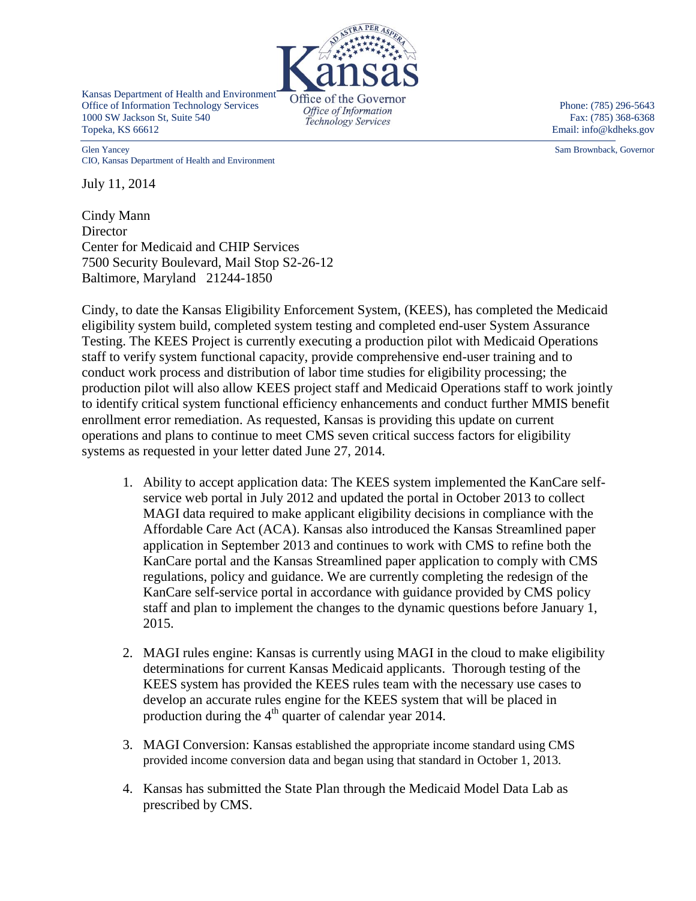

Kansas Department of Health and Environment Exansas Department of Health and Environment<br>
Office of the Governor<br>
Office of Information<br>
Office of Information<br>
Office of Information<br>
Phone: (785) 296-5643 1000 SW Jackson St, Suite 540 *Technology Services* Fax: (785) 368-6368 Topeka, KS 66612 Email: info@kdheks.gov

Glen Yancey Sam Brownback, Governor CIO, Kansas Department of Health and Environment

July 11, 2014

Cindy Mann **Director** Center for Medicaid and CHIP Services 7500 Security Boulevard, Mail Stop S2-26-12 Baltimore, Maryland 21244-1850

Cindy, to date the Kansas Eligibility Enforcement System, (KEES), has completed the Medicaid eligibility system build, completed system testing and completed end-user System Assurance Testing. The KEES Project is currently executing a production pilot with Medicaid Operations staff to verify system functional capacity, provide comprehensive end-user training and to conduct work process and distribution of labor time studies for eligibility processing; the production pilot will also allow KEES project staff and Medicaid Operations staff to work jointly to identify critical system functional efficiency enhancements and conduct further MMIS benefit enrollment error remediation. As requested, Kansas is providing this update on current operations and plans to continue to meet CMS seven critical success factors for eligibility systems as requested in your letter dated June 27, 2014.

- 1. Ability to accept application data: The KEES system implemented the KanCare selfservice web portal in July 2012 and updated the portal in October 2013 to collect MAGI data required to make applicant eligibility decisions in compliance with the Affordable Care Act (ACA). Kansas also introduced the Kansas Streamlined paper application in September 2013 and continues to work with CMS to refine both the KanCare portal and the Kansas Streamlined paper application to comply with CMS regulations, policy and guidance. We are currently completing the redesign of the KanCare self-service portal in accordance with guidance provided by CMS policy staff and plan to implement the changes to the dynamic questions before January 1, 2015.
- 2. MAGI rules engine: Kansas is currently using MAGI in the cloud to make eligibility determinations for current Kansas Medicaid applicants. Thorough testing of the KEES system has provided the KEES rules team with the necessary use cases to develop an accurate rules engine for the KEES system that will be placed in production during the  $4<sup>th</sup>$  quarter of calendar year 2014.
- 3. MAGI Conversion: Kansas established the appropriate income standard using CMS provided income conversion data and began using that standard in October 1, 2013.
- 4. Kansas has submitted the State Plan through the Medicaid Model Data Lab as prescribed by CMS.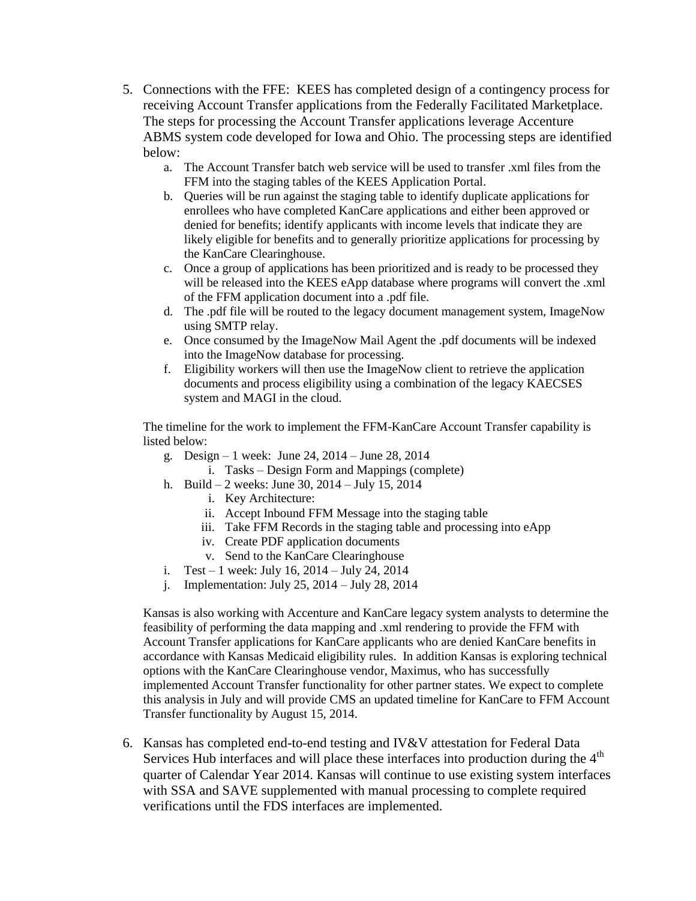- 5. Connections with the FFE: KEES has completed design of a contingency process for receiving Account Transfer applications from the Federally Facilitated Marketplace. The steps for processing the Account Transfer applications leverage Accenture ABMS system code developed for Iowa and Ohio. The processing steps are identified below:
	- a. The Account Transfer batch web service will be used to transfer .xml files from the FFM into the staging tables of the KEES Application Portal.
	- b. Queries will be run against the staging table to identify duplicate applications for enrollees who have completed KanCare applications and either been approved or denied for benefits; identify applicants with income levels that indicate they are likely eligible for benefits and to generally prioritize applications for processing by the KanCare Clearinghouse.
	- c. Once a group of applications has been prioritized and is ready to be processed they will be released into the KEES eApp database where programs will convert the .xml of the FFM application document into a .pdf file.
	- d. The .pdf file will be routed to the legacy document management system, ImageNow using SMTP relay.
	- e. Once consumed by the ImageNow Mail Agent the .pdf documents will be indexed into the ImageNow database for processing.
	- f. Eligibility workers will then use the ImageNow client to retrieve the application documents and process eligibility using a combination of the legacy KAECSES system and MAGI in the cloud.

The timeline for the work to implement the FFM-KanCare Account Transfer capability is listed below:

- g. Design 1 week: June 24, 2014 June 28, 2014
	- i. Tasks Design Form and Mappings (complete)
- h. Build 2 weeks: June 30, 2014 July 15, 2014
	- i. Key Architecture:
	- ii. Accept Inbound FFM Message into the staging table
	- iii. Take FFM Records in the staging table and processing into eApp
	- iv. Create PDF application documents
	- v. Send to the KanCare Clearinghouse
- i. Test 1 week: July 16,  $2014$  July 24,  $2014$
- j. Implementation: July 25, 2014 July 28, 2014

Kansas is also working with Accenture and KanCare legacy system analysts to determine the feasibility of performing the data mapping and .xml rendering to provide the FFM with Account Transfer applications for KanCare applicants who are denied KanCare benefits in accordance with Kansas Medicaid eligibility rules. In addition Kansas is exploring technical options with the KanCare Clearinghouse vendor, Maximus, who has successfully implemented Account Transfer functionality for other partner states. We expect to complete this analysis in July and will provide CMS an updated timeline for KanCare to FFM Account Transfer functionality by August 15, 2014.

6. Kansas has completed end-to-end testing and IV&V attestation for Federal Data Services Hub interfaces and will place these interfaces into production during the 4<sup>th</sup> quarter of Calendar Year 2014. Kansas will continue to use existing system interfaces with SSA and SAVE supplemented with manual processing to complete required verifications until the FDS interfaces are implemented.